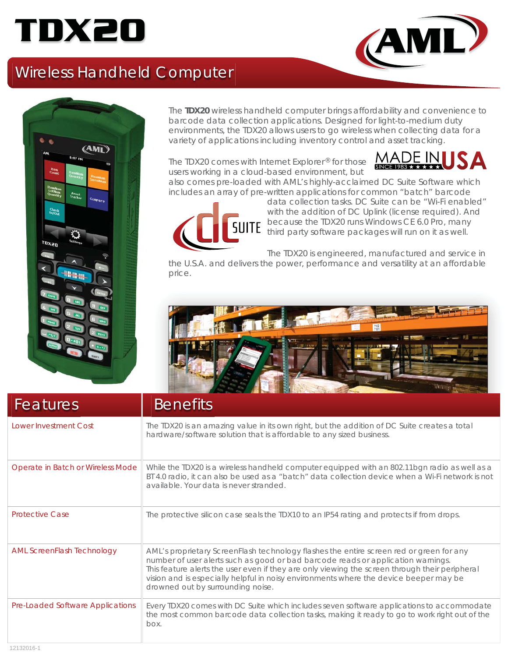# **TDX20**





The **TDX20** wireless handheld computer brings affordability and convenience to barcode data collection applications. Designed for light-to-medium duty environments, the TDX20 allows users to go wireless when collecting data for a variety of applications including inventory control and asset tracking.

The TDX20 comes with Internet Explorer<sup>®</sup> for those users working in a cloud-based environment, but



also comes pre-loaded with AML's highly-acclaimed DC Suite Software which includes an array of pre-written applications for common "batch" barcode



data collection tasks. DC Suite can be "Wi-Fi enabled" with the addition of DC Uplink (license required). And because the TDX20 runs Windows CE 6.0 Pro, many **SUITE** because the runzo runs will be carried that the third party software packages will run on it as well.

The TDX20 is engineered, manufactured and service in the U.S.A. and delivers the power, performance and versatility at an affordable price.



| Features                          | <b>Benefits</b>                                                                                                                                                                                                                                                                                                                                                                                             |
|-----------------------------------|-------------------------------------------------------------------------------------------------------------------------------------------------------------------------------------------------------------------------------------------------------------------------------------------------------------------------------------------------------------------------------------------------------------|
| Lower Investment Cost             | The TDX20 is an amazing value in its own right, but the addition of DC Suite creates a total<br>hardware/software solution that is affordable to any sized business.                                                                                                                                                                                                                                        |
| Operate in Batch or Wireless Mode | While the TDX20 is a wireless handheld computer equipped with an 802.11bgn radio as well as a<br>BT 4.0 radio, it can also be used as a "batch" data collection device when a Wi-Fi network is not<br>available. Your data is never stranded.                                                                                                                                                               |
| <b>Protective Case</b>            | The protective silicon case seals the TDX10 to an IP54 rating and protects if from drops.                                                                                                                                                                                                                                                                                                                   |
| <b>AML ScreenFlash Technology</b> | AML's proprietary ScreenFlash technology flashes the entire screen red or green for any<br>number of user alerts such as good or bad barcode reads or application warnings.<br>This feature alerts the user even if they are only viewing the screen through their peripheral<br>vision and is especially helpful in noisy environments where the device beeper may be<br>drowned out by surrounding noise. |
| Pre-Loaded Software Applications  | Every TDX20 comes with DC Suite which includes seven software applications to accommodate<br>the most common barcode data collection tasks, making it ready to go to work right out of the<br>box.                                                                                                                                                                                                          |